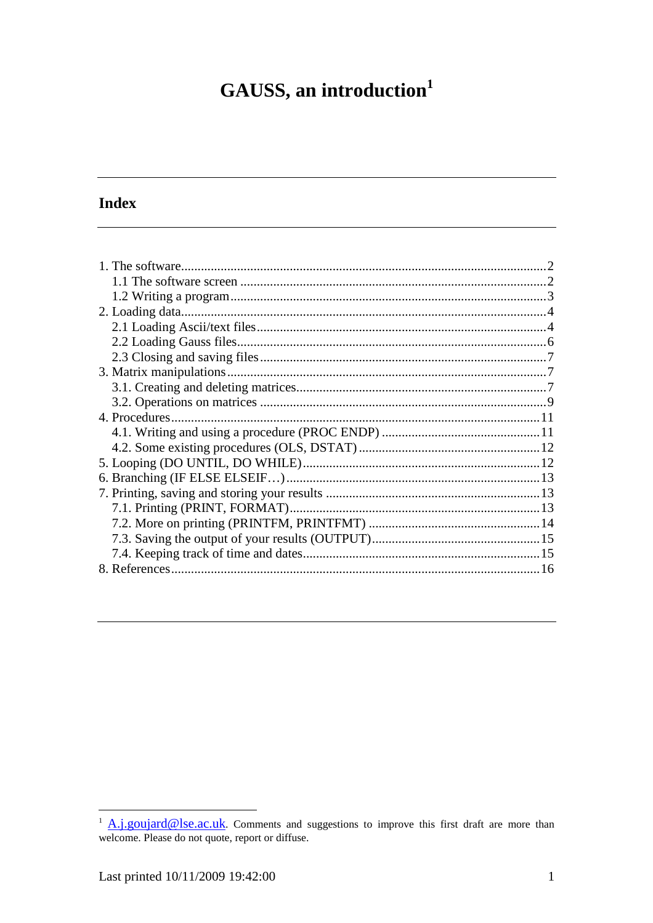# GAUSS, an introduction<sup>1</sup>

# **Index**

<sup>&</sup>lt;sup>1</sup> A.j.goujard@lse.ac.uk. Comments and suggestions to improve this first draft are more than welcome. Please do not quote, report or diffuse.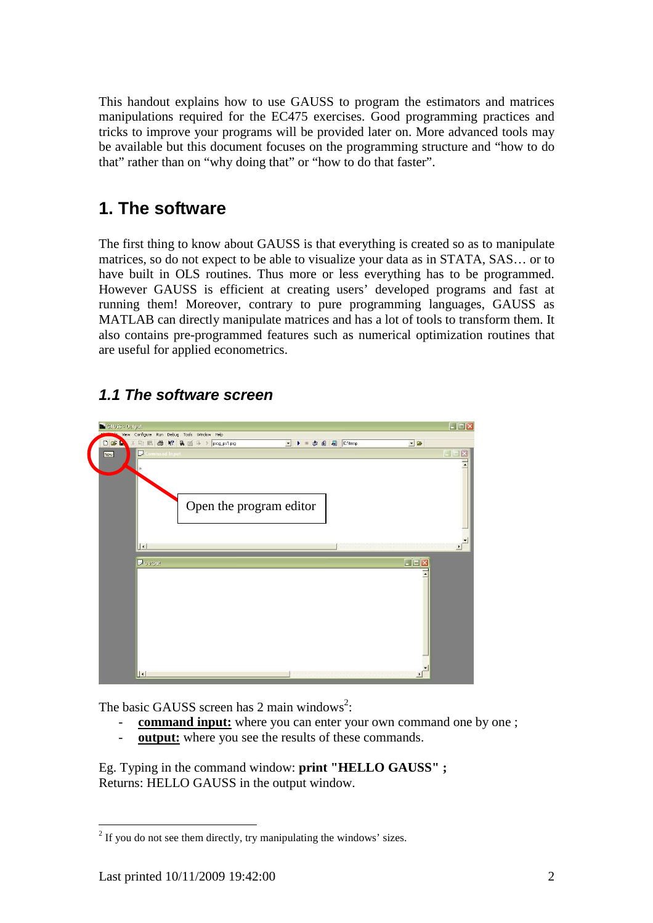This handout explains how to use GAUSS to program the estimators and matrices manipulations required for the EC475 exercises. Good programming practices and tricks to improve your programs will be provided later on. More advanced tools may be available but this document focuses on the programming structure and "how to do that" rather than on "why doing that" or "how to do that faster".

# **1. The software**

The first thing to know about GAUSS is that everything is created so as to manipulate matrices, so do not expect to be able to visualize your data as in STATA, SAS… or to have built in OLS routines. Thus more or less everything has to be programmed. However GAUSS is efficient at creating users' developed programs and fast at running them! Moreover, contrary to pure programming languages, GAUSS as MATLAB can directly manipulate matrices and has a lot of tools to transform them. It also contains pre-programmed features such as numerical optimization routines that are useful for applied econometrics.

# $\Box$ e $\mathbf{x}$ nfigure Run Debug Tools Window Help **B B R B** if  $\rightarrow$  prog.ps1.prg - D 4 2 C.Vemp  $\overline{\bullet}$  $\overline{\mathbf{x}}$ Open the program editor  $\Box$  out

# **1.1 The software screen**

The basic GAUSS screen has 2 main windows<sup>2</sup>:

- **command input:** where you can enter your own command one by one;
- **output:** where you see the results of these commands.

Eg. Typing in the command window: **print "HELLO GAUSS" ;**  Returns: HELLO GAUSS in the output window.

 $\overline{a}$  $2<sup>2</sup>$  If you do not see them directly, try manipulating the windows' sizes.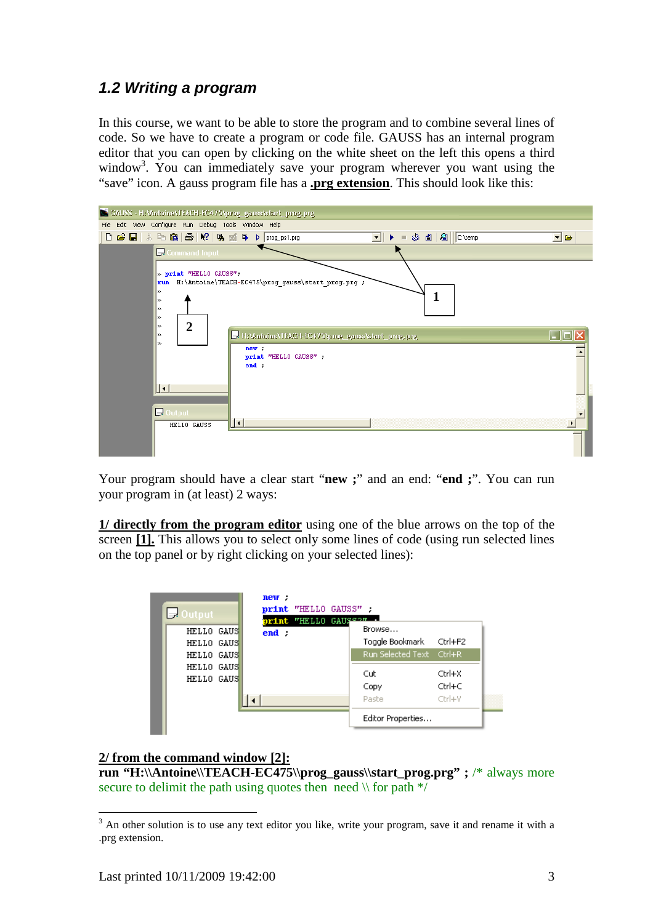### **1.2 Writing a program**

In this course, we want to be able to store the program and to combine several lines of code. So we have to create a program or code file. GAUSS has an internal program editor that you can open by clicking on the white sheet on the left this opens a third window<sup>3</sup>. You can immediately save your program wherever you want using the "save" icon. A gauss program file has a **.prg extension**. This should look like this:



Your program should have a clear start "**new ;**" and an end: "**end ;**". You can run your program in (at least) 2 ways:

**1/ directly from the program editor** using one of the blue arrows on the top of the screen **[1].** This allows you to select only some lines of code (using run selected lines on the top panel or by right clicking on your selected lines):

| $\Box$ Output            | new: | print "HELLO GAUSS".<br>print "HELLO GAUS"?" . |                            |                  |
|--------------------------|------|------------------------------------------------|----------------------------|------------------|
| HELLO GAUS<br>HELLO GAUS | end: |                                                | Browse<br>Toggle Bookmark  | Ctrl+F2          |
| HELLO GAUS<br>HELLO GAUS |      |                                                | Run Selected Text Ctrl+R   |                  |
| HELLO GAUS               |      |                                                | Cut.<br>Copy               | Ctrl+X<br>Ctrl+C |
|                          |      |                                                | Paste<br>Editor Properties | Ctrl+V           |

#### **2/ from the command window [2]:**

**run "H:\\Antoine\\TEACH-EC475\\prog\_gauss\\start\_prog.prg" ;** /\* always more secure to delimit the path using quotes then need  $\mathcal{N}$  for path  $\mathcal{N}$ 

 $\overline{a}$ 

 $3$  An other solution is to use any text editor you like, write your program, save it and rename it with a .prg extension.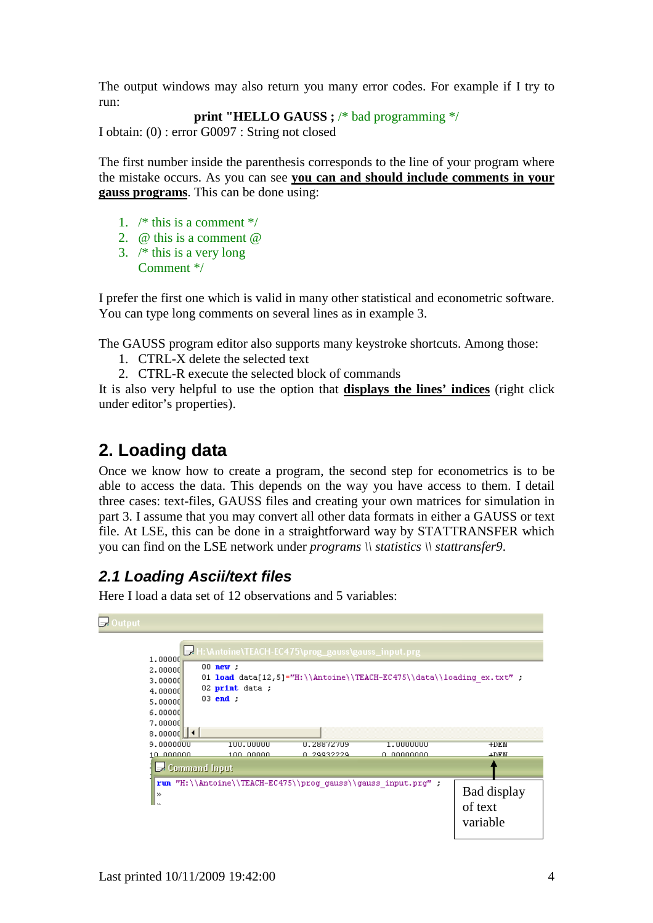The output windows may also return you many error codes. For example if I try to run:

```
print "HELLO GAUSS ; /* bad programming */
```
I obtain: (0) : error G0097 : String not closed

The first number inside the parenthesis corresponds to the line of your program where the mistake occurs. As you can see **you can and should include comments in your gauss programs**. This can be done using:

- 1.  $/*$  this is a comment  $*/$
- 2. @ this is a comment @
- 3. /\* this is a very long Comment \*/

I prefer the first one which is valid in many other statistical and econometric software. You can type long comments on several lines as in example 3.

The GAUSS program editor also supports many keystroke shortcuts. Among those:

- 1. CTRL-X delete the selected text
- 2. CTRL-R execute the selected block of commands

It is also very helpful to use the option that **displays the lines' indices** (right click under editor's properties).

# **2. Loading data**

Once we know how to create a program, the second step for econometrics is to be able to access the data. This depends on the way you have access to them. I detail three cases: text-files, GAUSS files and creating your own matrices for simulation in part 3. I assume that you may convert all other data formats in either a GAUSS or text file. At LSE, this can be done in a straightforward way by STATTRANSFER which you can find on the LSE network under *programs \\ statistics \\ stattransfer9*.

# **2.1 Loading Ascii/text files**

Here I load a data set of 12 observations and 5 variables:

| 1,00000<br>2.00000<br>3,00000<br>4.00000<br>5,00000<br>6.00000<br>7.00000 | $00$ new ;<br>01 load data[12,5]="H:\\Antoine\\TEACH-EC475\\data\\loading ex.txt" ;<br>02 $print$ data ;<br>$03$ end : | H:\Antoine\TEACH-EC475\prog_gauss\gauss_input.prg |                         |                        |
|---------------------------------------------------------------------------|------------------------------------------------------------------------------------------------------------------------|---------------------------------------------------|-------------------------|------------------------|
| 8.00000                                                                   |                                                                                                                        |                                                   |                         |                        |
| 9.0000000<br>10 000000                                                    | 100.00000<br>100 00000                                                                                                 | 0.28872709<br>0 29932229                          | 1.0000000<br>n nggagaan | $+DEN$<br>$+$ D $FM$   |
|                                                                           | Command Input                                                                                                          |                                                   |                         |                        |
| $\gg$<br>l ss                                                             | run "H:\\Antoine\\TEACH-EC475\\prog_gauss\\gauss_input.prg" ;                                                          |                                                   |                         | Bad display<br>of text |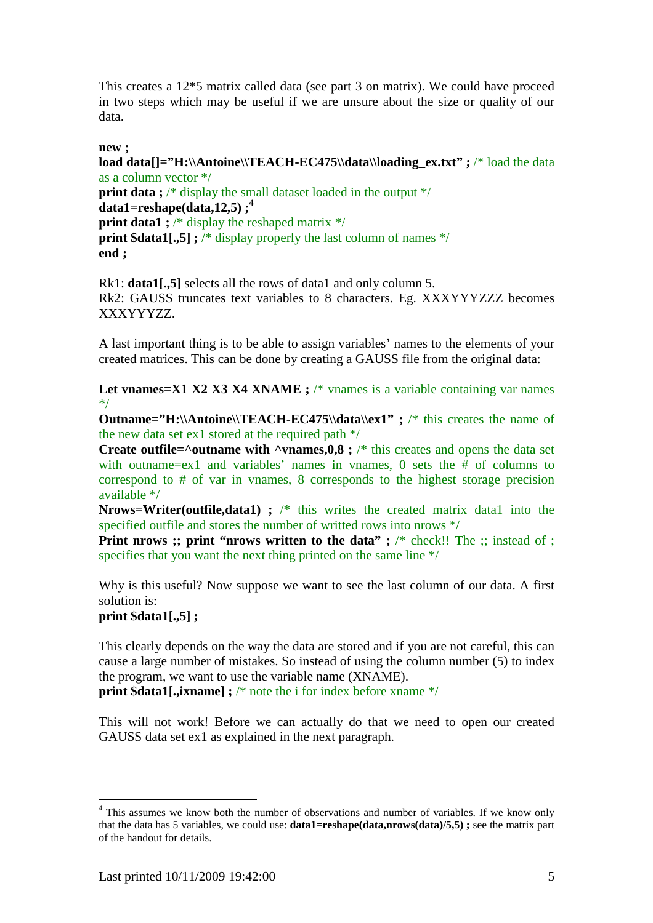This creates a 12\*5 matrix called data (see part 3 on matrix). We could have proceed in two steps which may be useful if we are unsure about the size or quality of our data.

#### **new ;**

**load data[]="H:\\Antoine\\TEACH-EC475\\data\\loading\_ex.txt" ; /\* load the data** as a column vector \*/ **print data ;** /\* display the small dataset loaded in the output \*/ **data1=reshape(data,12,5) ;<sup>4</sup> print data1 ;** /\* display the reshaped matrix \*/ **print \$data1[.,5] ;** /\* display properly the last column of names \*/ **end ;** 

Rk1: **data1[.,5]** selects all the rows of data1 and only column 5. Rk2: GAUSS truncates text variables to 8 characters. Eg. XXXYYYZZZ becomes XXXYYYZZ.

A last important thing is to be able to assign variables' names to the elements of your created matrices. This can be done by creating a GAUSS file from the original data:

Let vnames=X1 X2 X3 X4 XNAME ; /\* vnames is a variable containing var names \*/

**Outname="H:\\Antoine\\TEACH-EC475\\data\\ex1" ; /\* this creates the name of** the new data set ex1 stored at the required path \*/

**Create outfile=** $\alpha$ **outname with**  $\alpha$ **vnames,0,8 ;**  $\alpha$ **<sup>\*</sup> this creates and opens the data set** with outname=ex1 and variables' names in vnames, 0 sets the # of columns to correspond to # of var in vnames, 8 corresponds to the highest storage precision available \*/

**Nrows=Writer(outfile,data1) ;** /\* this writes the created matrix data1 into the specified outfile and stores the number of writted rows into nrows \*/

**Print nrows ;; print "nrows written to the data" ;** /\* check!! The :; instead of ; specifies that you want the next thing printed on the same line \*/

Why is this useful? Now suppose we want to see the last column of our data. A first solution is:

**print \$data1[.,5] ;** 

 $\overline{a}$ 

This clearly depends on the way the data are stored and if you are not careful, this can cause a large number of mistakes. So instead of using the column number (5) to index the program, we want to use the variable name (XNAME).

**print \$data1[.,ixname] ;** /\* note the i for index before xname \*/

This will not work! Before we can actually do that we need to open our created GAUSS data set ex1 as explained in the next paragraph.

<sup>&</sup>lt;sup>4</sup> This assumes we know both the number of observations and number of variables. If we know only that the data has 5 variables, we could use: **data1=reshape(data,nrows(data)/5,5) ;** see the matrix part of the handout for details.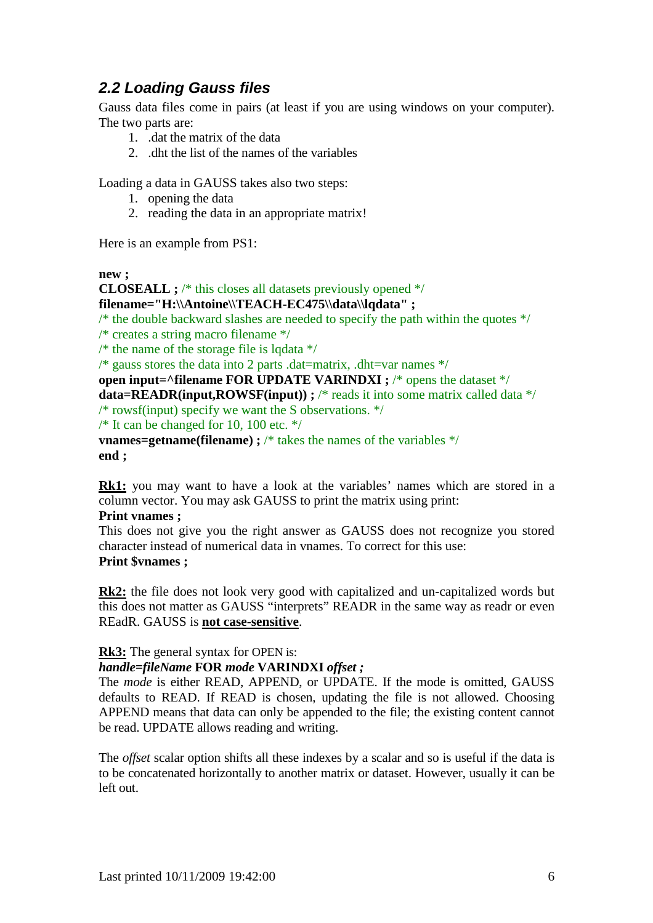# **2.2 Loading Gauss files**

Gauss data files come in pairs (at least if you are using windows on your computer). The two parts are:

- 1. .dat the matrix of the data
- 2. .dht the list of the names of the variables

Loading a data in GAUSS takes also two steps:

- 1. opening the data
- 2. reading the data in an appropriate matrix!

Here is an example from PS1:

**new ;** 

**CLOSEALL ;** /\* this closes all datasets previously opened \*/ **filename="H:\\Antoine\\TEACH-EC475\\data\\lqdata" ;**  $\frac{1}{2}$  the double backward slashes are needed to specify the path within the quotes  $\frac{1}{2}$ /\* creates a string macro filename \*/ /\* the name of the storage file is lqdata  $*/$ /\* gauss stores the data into 2 parts .dat=matrix, .dht=var names  $*/$ **open input=^filename FOR UPDATE VARINDXI ;** /\* opens the dataset \*/ **data=READR(input,ROWSF(input)) ;** /\* reads it into some matrix called data \*/  $/*$  rowsf(input) specify we want the S observations.  $*/$ /\* It can be changed for 10, 100 etc.  $*/$ **vnames=getname(filename) ;** /\* takes the names of the variables \*/ **end ;** 

**Rk1:** you may want to have a look at the variables' names which are stored in a column vector. You may ask GAUSS to print the matrix using print:

#### **Print vnames ;**

This does not give you the right answer as GAUSS does not recognize you stored character instead of numerical data in vnames. To correct for this use: **Print \$vnames ;** 

**Rk2:** the file does not look very good with capitalized and un-capitalized words but this does not matter as GAUSS "interprets" READR in the same way as readr or even REadR. GAUSS is **not case-sensitive**.

**Rk3:** The general syntax for OPEN is:

#### *handle=fileName* **FOR** *mode* **VARINDXI** *offset ;*

The *mode* is either READ, APPEND, or UPDATE. If the mode is omitted, GAUSS defaults to READ. If READ is chosen, updating the file is not allowed. Choosing APPEND means that data can only be appended to the file; the existing content cannot be read. UPDATE allows reading and writing.

The *offset* scalar option shifts all these indexes by a scalar and so is useful if the data is to be concatenated horizontally to another matrix or dataset. However, usually it can be left out.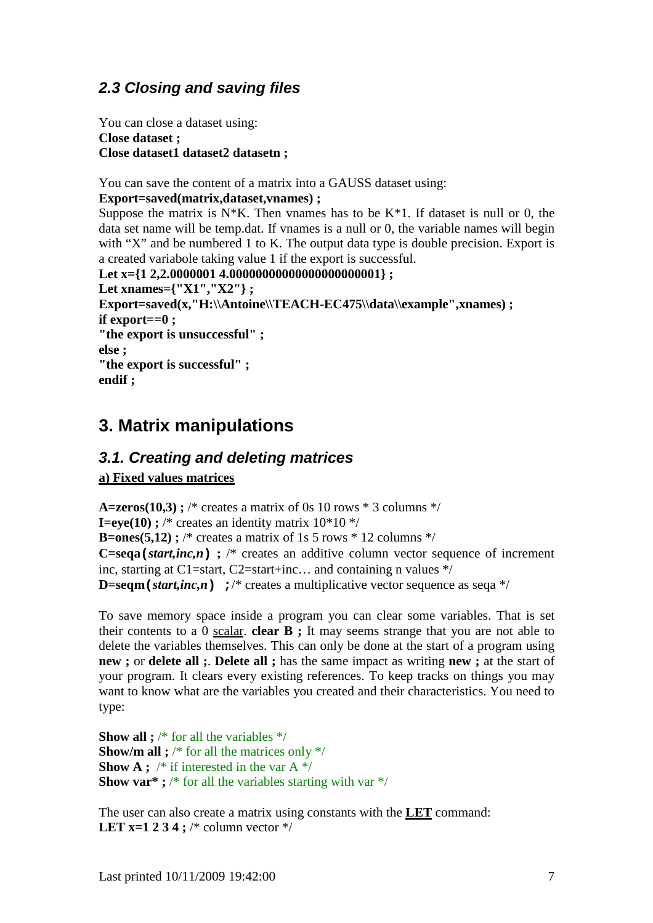# **2.3 Closing and saving files**

You can close a dataset using: **Close dataset ; Close dataset1 dataset2 datasetn ;** 

You can save the content of a matrix into a GAUSS dataset using:

#### **Export=saved(matrix,dataset,vnames) ;**

Suppose the matrix is  $N*K$ . Then vnames has to be  $K*1$ . If dataset is null or 0, the data set name will be temp.dat. If vnames is a null or 0, the variable names will begin with "X" and be numbered 1 to K. The output data type is double precision. Export is a created variabole taking value 1 if the export is successful.

```
Let x={1 2,2.0000001 4.0000000000000000000000001} ;
Let xnames={"X1","X2"} ; 
Export=saved(x,"H:\\Antoine\\TEACH-EC475\\data\\example",xnames) ; 
if export==0 ; 
"the export is unsuccessful" ; 
else ; 
"the export is successful" ; 
endif ;
```
# **3. Matrix manipulations**

### **3.1. Creating and deleting matrices**

**a) Fixed values matrices**

**A=zeros(10,3);** /\* creates a matrix of 0s 10 rows  $*$  3 columns  $*/$ **I=eye(10) ;** /\* creates an identity matrix  $10*10*$ **B=ones(5,12) ;** /\* creates a matrix of 1s 5 rows  $*$  12 columns  $*/$ **C=seqa**( $\textit{start}, \textit{inc}, n$ ) ; /\* creates an additive column vector sequence of increment inc, starting at C1=start, C2=start+inc... and containing n values  $*/$ **D=seqm** (*start,inc,n*)  $\rightarrow$  /\* creates a multiplicative vector sequence as seqa \*/

To save memory space inside a program you can clear some variables. That is set their contents to a 0 scalar. **clear B ;** It may seems strange that you are not able to delete the variables themselves. This can only be done at the start of a program using **new ;** or **delete all ;**. **Delete all ;** has the same impact as writing **new ;** at the start of your program. It clears every existing references. To keep tracks on things you may want to know what are the variables you created and their characteristics. You need to type:

**Show all ;** /\* for all the variables \*/ **Show/m all ;** /\* for all the matrices only \*/ **Show A ;** /\* if interested in the var A \*/ **Show var\***; /\* for all the variables starting with var \*/

The user can also create a matrix using constants with the **LET** command: **LET x=1 2 3 4 ;** /\* column vector  $*/$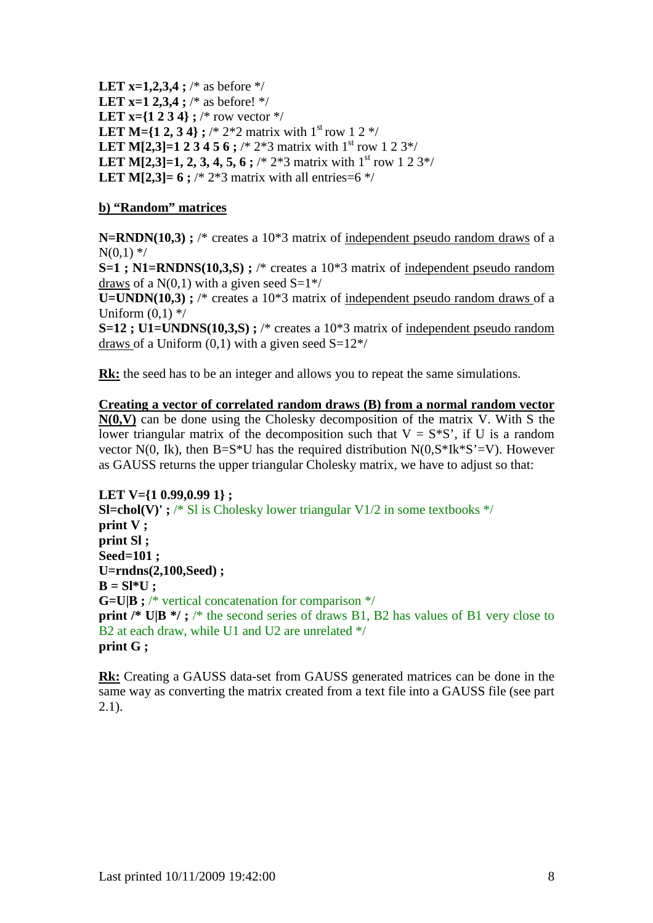**LET x=1,2,3,4 ;** /\* as before \*/ **LET x=1 2.3.4 :** /\* as before! \*/ **LET x={1 2 3 4} ;** /\* row vector \*/ **LET M={1 2, 3 4} ;** /\* 2\*2 matrix with  $1^{\text{st}}$  row 1 2 \*/ **LET M[2,3]=1 2 3 4 5 6 ;** /\* 2\*3 matrix with 1<sup>st</sup> row 1 2 3\*/ **LET M[2,3]=1, 2, 3, 4, 5, 6**; /\* 2\*3 matrix with  $1<sup>st</sup>$  row 1 2 3\*/ **LET M[2,3]= 6 ;** /\* 2\*3 matrix with all entries= $6$  \*/

#### **b) "Random" matrices**

**N=RNDN(10.3)** ; /\* creates a 10<sup>\*</sup>3 matrix of independent pseudo random draws of a  $N(0,1)$  \*/

**S=1**; N1=RNDNS(10,3,S); /\* creates a 10\*3 matrix of independent pseudo random draws of a  $N(0,1)$  with a given seed  $S=1^*/$ 

**U=UNDN(10,3)**; /\* creates a 10<sup>\*</sup>3 matrix of independent pseudo random draws of a Uniform  $(0,1)$  \*/

**S=12 ; U1=UNDNS(10,3,S) ;** /\* creates a 10\*3 matrix of independent pseudo random draws of a Uniform  $(0,1)$  with a given seed  $S=12^*/$ 

**Rk:** the seed has to be an integer and allows you to repeat the same simulations.

#### **Creating a vector of correlated random draws (B) from a normal random vector**   $N(0, V)$  can be done using the Cholesky decomposition of the matrix V. With S the lower triangular matrix of the decomposition such that  $V = S*S'$ , if U is a random vector N(0, Ik), then B=S\*U has the required distribution  $N(0, S^*Ik^*S' = V)$ . However as GAUSS returns the upper triangular Cholesky matrix, we have to adjust so that:

**LET V={1 0.99,0.99 1} ; SI=chol(V)'**;  $/*$  SI is Cholesky lower triangular V1/2 in some textbooks  $*/$ **print V ; print Sl ; Seed=101 ; U=rndns(2,100,Seed) ;**   $B = SI*U$ ; **G=U|B ;** /\* vertical concatenation for comparison \*/ **print /\* U|B \*/;** /\* the second series of draws B1, B2 has values of B1 very close to B<sub>2</sub> at each draw, while U<sub>1</sub> and U<sub>2</sub> are unrelated  $*/$ **print G ;** 

**Rk:** Creating a GAUSS data-set from GAUSS generated matrices can be done in the same way as converting the matrix created from a text file into a GAUSS file (see part 2.1).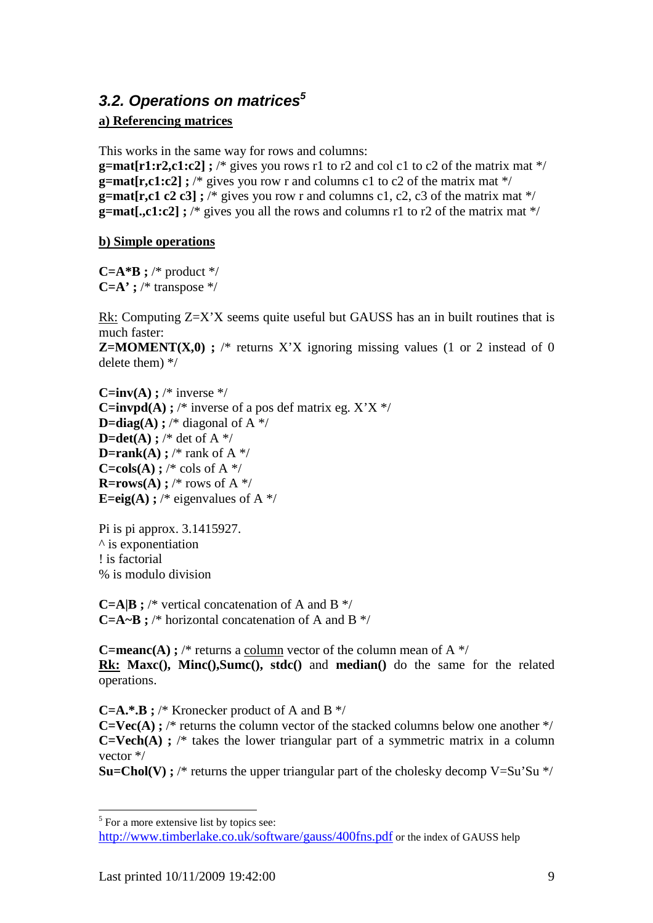# **3.2. Operations on matrices<sup>5</sup>**

#### **a) Referencing matrices**

This works in the same way for rows and columns:

**g=mat[r1:r2,c1:c2] ;** /\* gives you rows r1 to r2 and col c1 to c2 of the matrix mat \*/ **g=mat[r,c1:c2] ;** /\* gives you row r and columns c1 to c2 of the matrix mat \*/ **g=mat[r,c1 c2 c3];** /\* gives you row r and columns c1, c2, c3 of the matrix mat \*/ **g=mat[.,c1:c2] ;** /\* gives you all the rows and columns r1 to r2 of the matrix mat \*/

#### **b) Simple operations**

**C=A\*B ;** /\* product \*/ **C=A' ;** /\* transpose \*/

Rk: Computing Z=X'X seems quite useful but GAUSS has an in built routines that is much faster:

**Z=MOMENT(X,0)**; /\* returns X'X ignoring missing values (1 or 2 instead of 0 delete them) \*/

**C=inv(A) ;** /\* inverse \*/ **C=invpd(A) ;** /\* inverse of a pos def matrix eg.  $X'X$  \*/ **D=diag(A)**; /\* diagonal of  $A$  \*/  $D=det(A)$  ; /\* det of A \*/ **D=rank(A)** ; /\* rank of A  $*$ / **C=cols(A) ;** /\* cols of A  $*$ / **R=rows(A)** ; /\* rows of A \*/ **E=eig(A) ;** /\* eigenvalues of A  $*$ /

Pi is pi approx. 3.1415927.  $\wedge$  is exponentiation ! is factorial % is modulo division

**C=A|B ;** /\* vertical concatenation of A and B \*/ **C=A~B ;** /\* horizontal concatenation of A and B \*/

**C=meanc(A) ;** /\* returns a column vector of the column mean of A  $*$ / **Rk: Maxc(), Minc(),Sumc(), stdc()** and **median()** do the same for the related operations.

**C=A.\*.B ;** /\* Kronecker product of A and B \*/

 $C=Vec(A)$ ; /\* returns the column vector of the stacked columns below one another \*/ **C=Vech(A) ;** /\* takes the lower triangular part of a symmetric matrix in a column vector \*/

**Su=Chol(V) ;** /\* returns the upper triangular part of the cholesky decomp  $V = Su'Su * /$ 

 $\overline{a}$ 

<sup>&</sup>lt;sup>5</sup> For a more extensive list by topics see: http://www.timberlake.co.uk/software/gauss/400fns.pdf or the index of GAUSS help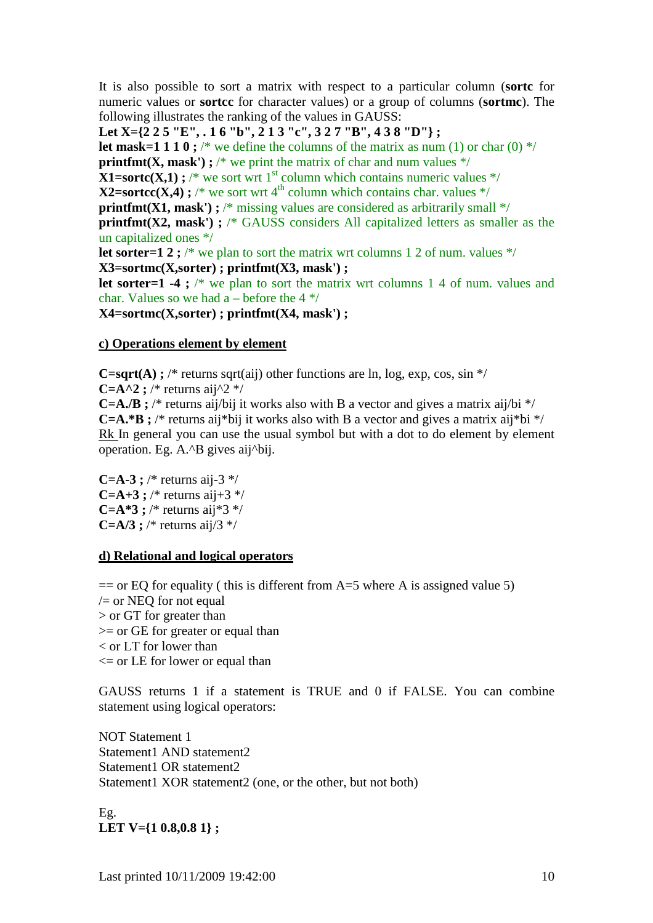It is also possible to sort a matrix with respect to a particular column (**sortc** for numeric values or **sortcc** for character values) or a group of columns (**sortmc**). The following illustrates the ranking of the values in GAUSS:

**Let X={2 2 5 "E", . 1 6 "b", 2 1 3 "c", 3 2 7 "B", 4 3 8 "D"} ;** 

**let mask=1 1 1 0 ;** /\* we define the columns of the matrix as num (1) or char (0) \*/

**printfmt(X, mask') ;** /\* we print the matrix of char and num values  $*/$ 

**X1=sortc(X,1) ;** /\* we sort wrt 1<sup>st</sup> column which contains numeric values \*/

**X2=sortcc(X,4) :** /\* we sort wrt  $4<sup>th</sup>$  column which contains char. values \*/

**printfmt(X1, mask') ;** /\* missing values are considered as arbitrarily small \*/

**printfmt(X2, mask')**; /\* GAUSS considers All capitalized letters as smaller as the un capitalized ones \*/

**let sorter=1 2 ;** /\* we plan to sort the matrix wrt columns 1 2 of num. values \*/

**X3=sortmc(X,sorter) ; printfmt(X3, mask') ;** 

**let sorter=1 -4 ;** /\* we plan to sort the matrix wrt columns 1 4 of num. values and char. Values so we had a – before the  $4*/$ 

**X4=sortmc(X,sorter) ; printfmt(X4, mask') ;** 

#### **c) Operations element by element**

**C=sqrt(A) ;** /\* returns sqrt(aij) other functions are ln, log, exp, cos, sin  $*/$ 

**C=A^2 ;** /\* returns aij^2 \*/

**C=A./B** ; /\* returns aij/bij it works also with B a vector and gives a matrix aij/bi  $*/$ **C=A.\*B**; /\* returns aij\*bij it works also with B a vector and gives a matrix aij\*bi \*/ Rk In general you can use the usual symbol but with a dot to do element by element operation. Eg. A.^B gives aij^bij.

**C=A-3 ;** /\* returns aij-3 \*/ **C=A+3**; /\* returns aij+3 \*/ **C=A\*3 ;** /\* returns aii\*3 \*/ **C=A/3 ;** /\* returns aij/3  $*$ /

#### **d) Relational and logical operators**

 $=$  or EQ for equality ( this is different from A=5 where A is assigned value 5)  $\ell$  or NEQ for not equal > or GT for greater than >= or GE for greater or equal than < or LT for lower than  $\leq$  or LE for lower or equal than

GAUSS returns 1 if a statement is TRUE and 0 if FALSE. You can combine statement using logical operators:

NOT Statement 1 Statement1 AND statement2 Statement1 OR statement2 Statement1 XOR statement2 (one, or the other, but not both)

Eg. **LET V={1 0.8,0.8 1} ;**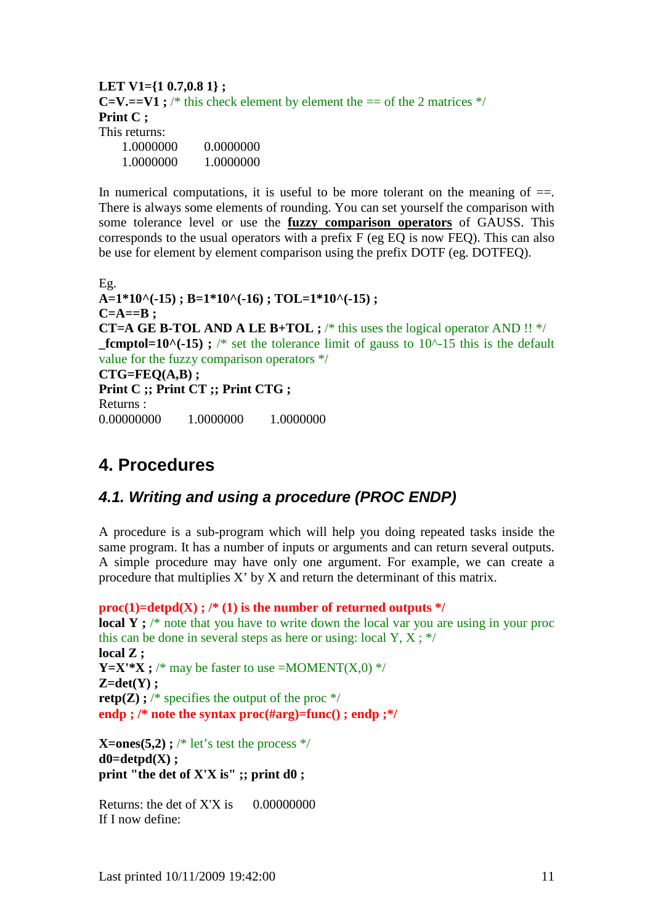#### **LET V1={1 0.7,0.8 1} ; C=V.==V1**;  $\frac{1}{2}$  this check element by element the == of the 2 matrices  $\frac{1}{2}$  / **Print C ;**  This returns: 1.0000000 0.0000000 1.0000000 1.0000000

In numerical computations, it is useful to be more tolerant on the meaning of  $==$ . There is always some elements of rounding. You can set yourself the comparison with some tolerance level or use the **fuzzy comparison operators** of GAUSS. This corresponds to the usual operators with a prefix F (eg EQ is now FEQ). This can also be use for element by element comparison using the prefix DOTF (eg. DOTFEQ).

Eg. **A=1\*10^(-15) ; B=1\*10^(-16) ; TOL=1\*10^(-15) ;**   $C=A==B$ : **CT=A GE B-TOL AND A LE B+TOL ;** /\* this uses the logical operator AND !! \*/ **fcmptol=10^(-15) ;** /\* set the tolerance limit of gauss to  $10<sup>^</sup>$ -15 this is the default value for the fuzzy comparison operators \*/ **CTG=FEQ(A,B) ; Print C ;; Print CT ;; Print CTG ;**  Returns : 0.00000000 1.0000000 1.0000000

# **4. Procedures**

### **4.1. Writing and using a procedure (PROC ENDP)**

A procedure is a sub-program which will help you doing repeated tasks inside the same program. It has a number of inputs or arguments and can return several outputs. A simple procedure may have only one argument. For example, we can create a procedure that multiplies X' by X and return the determinant of this matrix.

 $proc(1)=detpd(X)$ ; /\* (1) is the number of returned outputs \*/ **local Y** ; <sup>\*</sup> note that you have to write down the local var you are using in your proc this can be done in several steps as here or using: local Y,  $X$ ; \*/ **local Z ; Y=X'\*X ;** /\* may be faster to use =MOMENT(X,0) \*/ **Z=det(Y) ; retp(Z)**;  $\frac{1}{2}$  specifies the output of the proc  $\frac{1}{2}$ **endp ; /\* note the syntax proc(#arg)=func() ; endp ;\*/** 

**X=ones(5,2) ;** /\* let's test the process  $*/$  $d0=detpd(X)$  ; **print "the det of X'X is" ;; print d0 ;** 

Returns: the det of  $X'X$  is  $0.00000000$ If I now define: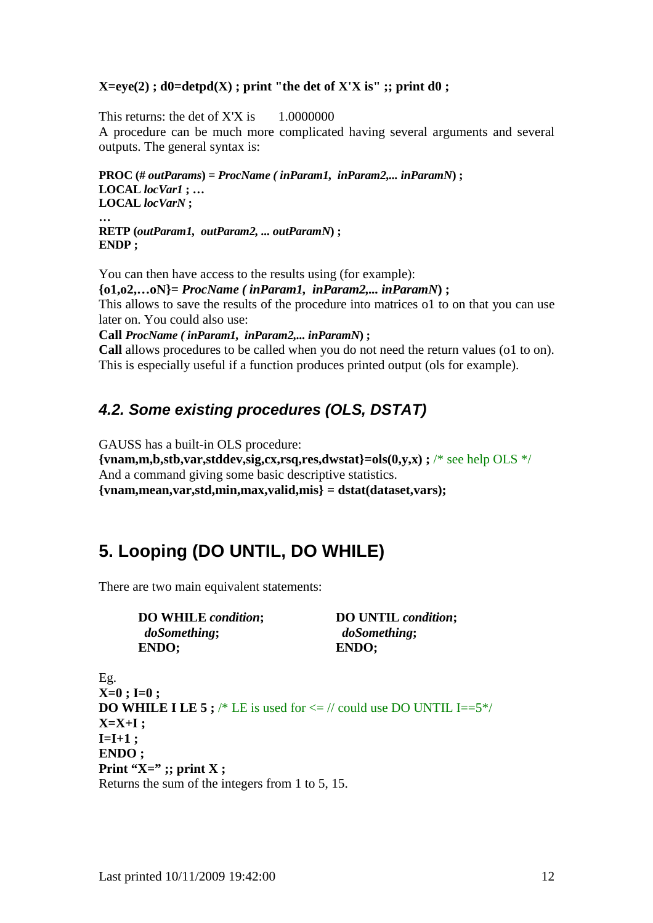#### $X=eye(2)$ ;  $d0=depth(X)$ ; print "the det of  $X'X$  is"; print  $d0$ ;

This returns: the det of  $X'X$  is  $1.0000000$ A procedure can be much more complicated having several arguments and several outputs. The general syntax is:

**PROC (#** *outParams***) =** *ProcName ( inParam1, inParam2,... inParamN***) ; LOCAL** *locVar1* **; … LOCAL** *locVarN* **; …** 

**RETP (***outParam1, outParam2, ... outParamN***) ; ENDP ;** 

You can then have access to the results using (for example): **{o1,o2,…oN}=** *ProcName ( inParam1, inParam2,... inParamN***) ;**  This allows to save the results of the procedure into matrices o1 to on that you can use later on. You could also use:

**Call** *ProcName ( inParam1, inParam2,... inParamN***) ;** 

**Call** allows procedures to be called when you do not need the return values (o1 to on). This is especially useful if a function produces printed output (ols for example).

### **4.2. Some existing procedures (OLS, DSTAT)**

GAUSS has a built-in OLS procedure:

**{vnam,m,b,stb,var,stddev,sig,cx,rsq,res,dwstat}=ols(0,y,x) ;** /\* see help OLS \*/ And a command giving some basic descriptive statistics. **{vnam,mean,var,std,min,max,valid,mis} = dstat(dataset,vars);** 

# **5. Looping (DO UNTIL, DO WHILE)**

There are two main equivalent statements:

*doSomething***;** *doSomething***; ENDO; ENDO;** 

 **DO WHILE** *condition***; DO UNTIL** *condition***;** 

```
Eg. 
X=0 ; I=0 ; 
DO WHILE I LE 5 ; /* LE is used for \lt = // could use DO UNTIL I==5*/
X=X+I ; 
I=I+1:
ENDO ; 
Print "X=" ;; print X ;
Returns the sum of the integers from 1 to 5, 15.
```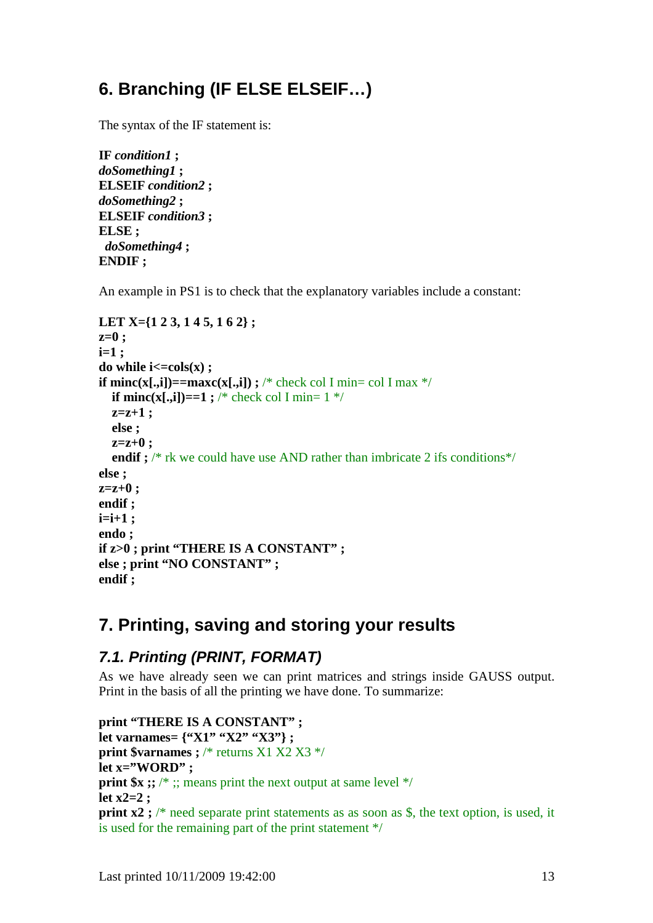# **6. Branching (IF ELSE ELSEIF…)**

The syntax of the IF statement is:

```
IF condition1 ; 
doSomething1 ; 
ELSEIF condition2 ; 
doSomething2 ; 
ELSEIF condition3 ; 
ELSE ; 
  doSomething4 ; 
ENDIF ;
```
An example in PS1 is to check that the explanatory variables include a constant:

```
LET X={1 2 3, 1 4 5, 1 6 2} ; 
z=0 ; 
i=1 ; 
\bf{d}o while \bf{i} \leq \bf{cols}(\bf{x}) ;
if minc(x[.,i])==maxc(x[.,i]) ; /* check col I min= col I max */
  if minc(x[.,i])==1 ; /* check col I min= 1 */
   z=z+1 ; 
   else ; 
   z=z+0 ; 
  endif ; /* rk we could have use AND rather than imbricate 2 ifs conditions*/
else ; 
z=z+0 ; 
endif ; 
i=i+1 ; 
endo ; 
if z>0 ; print "THERE IS A CONSTANT" ; 
else ; print "NO CONSTANT" ; 
endif ;
```
# **7. Printing, saving and storing your results**

# **7.1. Printing (PRINT, FORMAT)**

As we have already seen we can print matrices and strings inside GAUSS output. Print in the basis of all the printing we have done. To summarize:

```
print "THERE IS A CONSTANT" ; 
let varnames= {"X1" "X2" "X3"} ;
print $varnames : /* returns X1 X2 X3 */
let x="WORD" ; 
print $x ;; /* ;; means print the next output at same level */
let x2=2 ; 
print x2; /* need separate print statements as as soon as $, the text option, is used, it
is used for the remaining part of the print statement */
```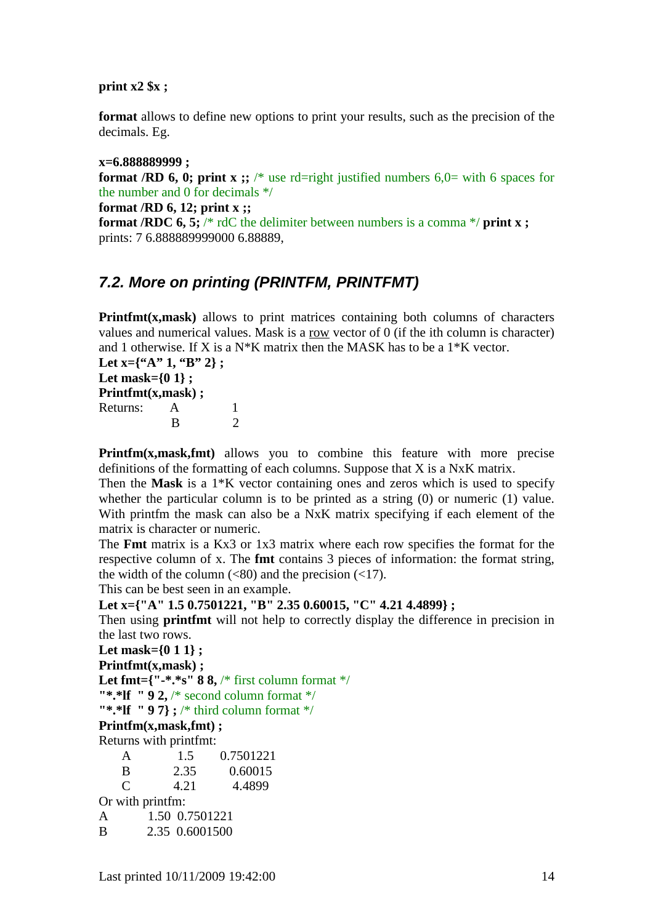#### **print x2 \$x ;**

**format** allows to define new options to print your results, such as the precision of the decimals. Eg.

**x=6.888889999 ; format /RD 6, 0; print x ;;** /\* use rd=right justified numbers  $6.0$ = with 6 spaces for the number and 0 for decimals \*/

**format /RD 6, 12; print x ;; format /RDC 6, 5;** /\* rdC the delimiter between numbers is a comma \*/ print **x**; prints: 7 6.888889999000 6.88889,

### **7.2. More on printing (PRINTFM, PRINTFMT)**

**Printfmt(x,mask)** allows to print matrices containing both columns of characters values and numerical values. Mask is a row vector of 0 (if the ith column is character) and 1 otherwise. If X is a  $N*K$  matrix then the MASK has to be a  $1*K$  vector.

Let x={"A" 1, "B" 2}; **Let mask={0 1} ; Printfmt(x,mask) ;**  Returns: A 1 **B** 2

**Printfm(x,mask,fmt)** allows you to combine this feature with more precise definitions of the formatting of each columns. Suppose that X is a NxK matrix.

Then the **Mask** is a 1\*K vector containing ones and zeros which is used to specify whether the particular column is to be printed as a string (0) or numeric (1) value. With printfm the mask can also be a NxK matrix specifying if each element of the matrix is character or numeric.

The **Fmt** matrix is a Kx3 or 1x3 matrix where each row specifies the format for the respective column of x. The **fmt** contains 3 pieces of information: the format string, the width of the column  $(\leq 80)$  and the precision  $(\leq 17)$ .

This can be best seen in an example.

#### **Let x={"A" 1.5 0.7501221, "B" 2.35 0.60015, "C" 4.21 4.4899} ;**

Then using **printfmt** will not help to correctly display the difference in precision in the last two rows.

```
Let mask={0 1 1} ;
```
**Printfmt(x,mask) ;** 

```
Let fmt={"-*.*s" 88, /* first column format */
```

```
"*.*lf " 9 2, /* second column format */
```
**"\*.\*If "97};** /\* third column format \*/

**Printfm(x,mask,fmt) ;** 

Returns with printfmt:

| A                           |                | 1.5  | 0.7501221 |  |  |  |
|-----------------------------|----------------|------|-----------|--|--|--|
| B                           |                | 2.35 | 0.60015   |  |  |  |
| $\mathcal{C}_{\mathcal{C}}$ |                | 4.21 | 4.4899    |  |  |  |
| Or with printfm:            |                |      |           |  |  |  |
| A                           | 1.50 0.7501221 |      |           |  |  |  |
| B                           | 2.35 0.6001500 |      |           |  |  |  |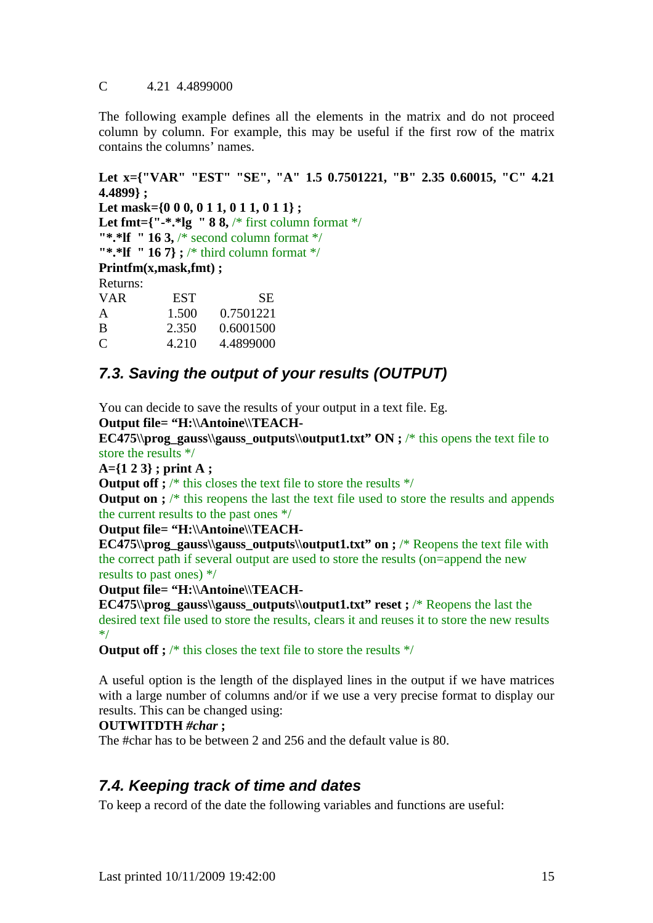#### C 4.21 4.4899000

The following example defines all the elements in the matrix and do not proceed column by column. For example, this may be useful if the first row of the matrix contains the columns' names.

```
Let x={"VAR" "EST" "SE", "A" 1.5 0.7501221, "B" 2.35 0.60015, "C" 4.21 
4.4899} ; 
Let mask={0 0 0, 0 1 1, 0 1 1, 0 1 1};
Let fmt={"-*.*lg " 8 8, /* first column format */
"*.*lf " 16 3, /* second column format */ 
"*.*If " 16 7} ; /* third column format */
Printfm(x,mask,fmt) ; 
Returns: 
VAR EST SE
A 1.500 0.7501221 
B 2.350 0.6001500 
C = 4.210 + 4.4899000
```
# **7.3. Saving the output of your results (OUTPUT)**

You can decide to save the results of your output in a text file. Eg.

**Output file= "H:\\Antoine\\TEACH-**

**EC475\\prog\_gauss\\gauss\_outputs\\output1.txt"**  $ON$  **; /\* this opens the text file to** store the results \*/

**A={1 2 3} ; print A ;** 

**Output off ;** /\* this closes the text file to store the results \*/

**Output on ;** /\* this reopens the last the text file used to store the results and appends the current results to the past ones \*/

#### **Output file= "H:\\Antoine\\TEACH-**

**EC475\\prog\_gauss\\gauss\_outputs\\output1.txt" on ; /\* Reopens the text file with** the correct path if several output are used to store the results (on=append the new results to past ones) \*/

**Output file= "H:\\Antoine\\TEACH-**

**EC475\\prog\_gauss\\gauss\_outputs\\output1.txt" reset ; /\* Reopens the last the** desired text file used to store the results, clears it and reuses it to store the new results \*/

**Output off ;** /\* this closes the text file to store the results \*/

A useful option is the length of the displayed lines in the output if we have matrices with a large number of columns and/or if we use a very precise format to display our results. This can be changed using:

#### **OUTWITDTH** *#char* **;**

The #char has to be between 2 and 256 and the default value is 80.

### **7.4. Keeping track of time and dates**

To keep a record of the date the following variables and functions are useful: